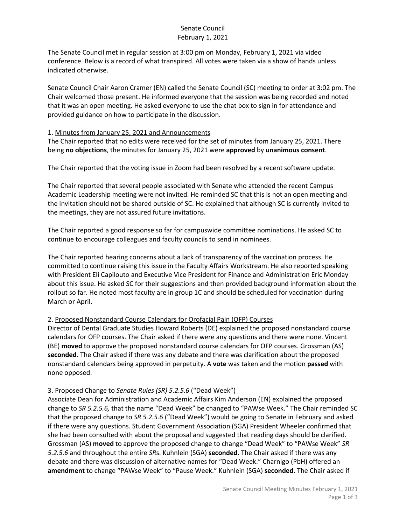# Senate Council February 1, 2021

The Senate Council met in regular session at 3:00 pm on Monday, February 1, 2021 via video conference. Below is a record of what transpired. All votes were taken via a show of hands unless indicated otherwise.

Senate Council Chair Aaron Cramer (EN) called the Senate Council (SC) meeting to order at 3:02 pm. The Chair welcomed those present. He informed everyone that the session was being recorded and noted that it was an open meeting. He asked everyone to use the chat box to sign in for attendance and provided guidance on how to participate in the discussion.

#### 1. Minutes from January 25, 2021 and Announcements

The Chair reported that no edits were received for the set of minutes from January 25, 2021. There being **no objections**, the minutes for January 25, 2021 were **approved** by **unanimous consent**.

The Chair reported that the voting issue in Zoom had been resolved by a recent software update.

The Chair reported that several people associated with Senate who attended the recent Campus Academic Leadership meeting were not invited. He reminded SC that this is not an open meeting and the invitation should not be shared outside of SC. He explained that although SC is currently invited to the meetings, they are not assured future invitations.

The Chair reported a good response so far for campuswide committee nominations. He asked SC to continue to encourage colleagues and faculty councils to send in nominees.

The Chair reported hearing concerns about a lack of transparency of the vaccination process. He committed to continue raising this issue in the Faculty Affairs Workstream. He also reported speaking with President Eli Capilouto and Executive Vice President for Finance and Administration Eric Monday about this issue. He asked SC for their suggestions and then provided background information about the rollout so far. He noted most faculty are in group 1C and should be scheduled for vaccination during March or April.

### 2. Proposed Nonstandard Course Calendars for Orofacial Pain (OFP) Courses

Director of Dental Graduate Studies Howard Roberts (DE) explained the proposed nonstandard course calendars for OFP courses. The Chair asked if there were any questions and there were none. Vincent (BE) **moved** to approve the proposed nonstandard course calendars for OFP courses. Grossman (AS) **seconded**. The Chair asked if there was any debate and there was clarification about the proposed nonstandard calendars being approved in perpetuity. A **vote** was taken and the motion **passed** with none opposed.

### 3. Proposed Change to *Senate Rules (SR) 5.2.5.6* ("Dead Week")

Associate Dean for Administration and Academic Affairs Kim Anderson (EN) explained the proposed change to *SR 5.2.5.6,* that the name "Dead Week" be changed to "PAWse Week." The Chair reminded SC that the proposed change to *SR 5.2.5.6* ("Dead Week") would be going to Senate in February and asked if there were any questions. Student Government Association (SGA) President Wheeler confirmed that she had been consulted with about the proposal and suggested that reading days should be clarified. Grossman (AS) **moved** to approve the proposed change to change "Dead Week" to "PAWse Week" *SR 5.2.5.6* and throughout the entire *SR*s. Kuhnlein (SGA) **seconded**. The Chair asked if there was any debate and there was discussion of alternative names for "Dead Week." Charnigo (PbH) offered an **amendment** to change "PAWse Week" to "Pause Week." Kuhnlein (SGA) **seconded**. The Chair asked if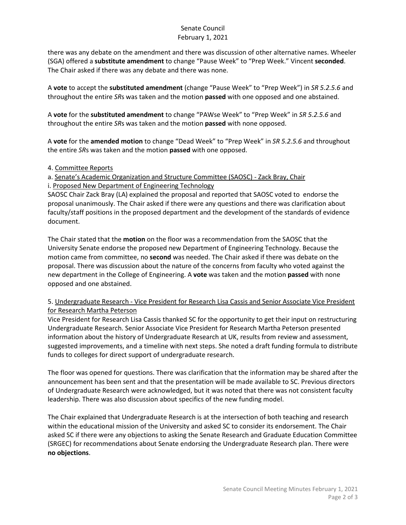# Senate Council February 1, 2021

there was any debate on the amendment and there was discussion of other alternative names. Wheeler (SGA) offered a **substitute amendment** to change "Pause Week" to "Prep Week." Vincent **seconded**. The Chair asked if there was any debate and there was none.

A **vote** to accept the **substituted amendment** (change "Pause Week" to "Prep Week") in *SR 5.2.5.6* and throughout the entire *SR*s was taken and the motion **passed** with one opposed and one abstained.

A **vote** for the **substituted amendment** to change "PAWse Week" to "Prep Week" in *SR 5.2.5.6* and throughout the entire *SR*s was taken and the motion **passed** with none opposed.

A **vote** for the **amended motion** to change "Dead Week" to "Prep Week" in *SR 5.2.5.6* and throughout the entire *SR*s was taken and the motion **passed** with one opposed.

### 4. Committee Reports

a. Senate's Academic Organization and Structure Committee (SAOSC) - Zack Bray, Chair i. Proposed New Department of Engineering Technology

SAOSC Chair Zack Bray (LA) explained the proposal and reported that SAOSC voted to endorse the proposal unanimously. The Chair asked if there were any questions and there was clarification about faculty/staff positions in the proposed department and the development of the standards of evidence document.

The Chair stated that the **motion** on the floor was a recommendation from the SAOSC that the University Senate endorse the proposed new Department of Engineering Technology. Because the motion came from committee, no **second** was needed. The Chair asked if there was debate on the proposal. There was discussion about the nature of the concerns from faculty who voted against the new department in the College of Engineering. A **vote** was taken and the motion **passed** with none opposed and one abstained.

### 5. Undergraduate Research - Vice President for Research Lisa Cassis and Senior Associate Vice President for Research Martha Peterson

Vice President for Research Lisa Cassis thanked SC for the opportunity to get their input on restructuring Undergraduate Research. Senior Associate Vice President for Research Martha Peterson presented information about the history of Undergraduate Research at UK, results from review and assessment, suggested improvements, and a timeline with next steps. She noted a draft funding formula to distribute funds to colleges for direct support of undergraduate research.

The floor was opened for questions. There was clarification that the information may be shared after the announcement has been sent and that the presentation will be made available to SC. Previous directors of Undergraduate Research were acknowledged, but it was noted that there was not consistent faculty leadership. There was also discussion about specifics of the new funding model.

The Chair explained that Undergraduate Research is at the intersection of both teaching and research within the educational mission of the University and asked SC to consider its endorsement. The Chair asked SC if there were any objections to asking the Senate Research and Graduate Education Committee (SRGEC) for recommendations about Senate endorsing the Undergraduate Research plan. There were **no objections**.